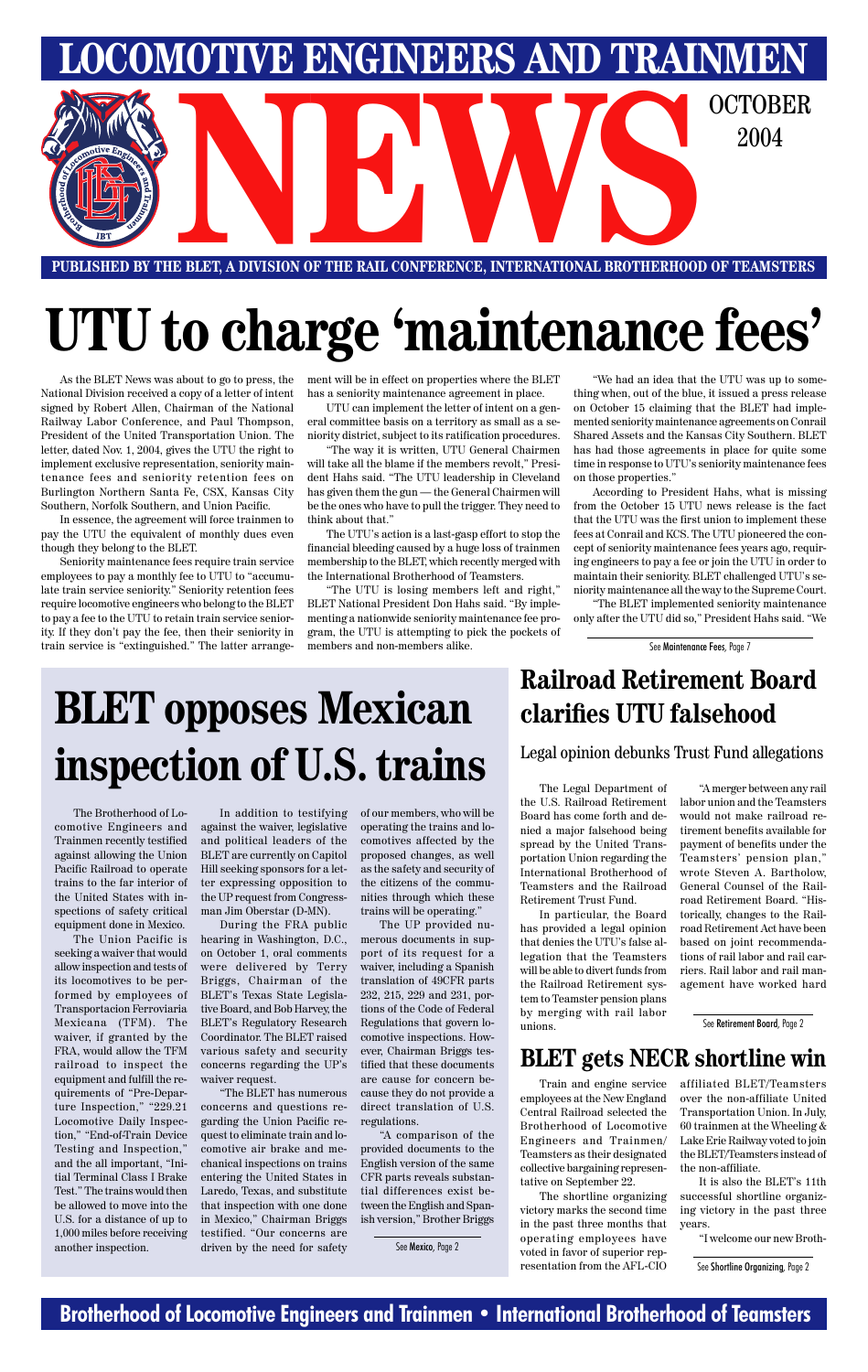### **Brotherhood of Locomotive Engineers and Trainmen • International Brotherhood of Teamsters**

**LOMOTIVE ENGINEERS AND TRAINMEN** E BLET, A DIVISION OF THE RAIL CONFERENCE, INTERNATIONAL BROTHERHOOD OF TEAMSTERS 2004

**PUBLISHED BY THE BLET, A DIVISION OF THE RAIL CONFERENCE, INTERNATIONAL BROTHERHOOD OF TEAMSTERS**

# **UTU to charge 'maintenance fees'**

As the BLET News was about to go to press, the National Division received a copy of a letter of intent signed by Robert Allen, Chairman of the National Railway Labor Conference, and Paul Thompson, President of the United Transportation Union. The letter, dated Nov. 1, 2004, gives the UTU the right to implement exclusive representation, seniority maintenance fees and seniority retention fees on Burlington Northern Santa Fe, CSX, Kansas City Southern, Norfolk Southern, and Union Pacific.

In essence, the agreement will force trainmen to pay the UTU the equivalent of monthly dues even though they belong to the BLET.

Seniority maintenance fees require train service employees to pay a monthly fee to UTU to "accumulate train service seniority." Seniority retention fees require locomotive engineers who belong to the BLET to pay a fee to the UTU to retain train service seniority. If they don't pay the fee, then their seniority in train service is "extinguished." The latter arrangement will be in effect on properties where the BLET has a seniority maintenance agreement in place.

UTU can implement the letter of intent on a general committee basis on a territory as small as a seniority district, subject to its ratification procedures.

"The way it is written, UTU General Chairmen will take all the blame if the members revolt," President Hahs said. "The UTU leadership in Cleveland has given them the gun — the General Chairmen will be the ones who have to pull the trigger. They need to think about that."

The UTU's action is a last-gasp effort to stop the financial bleeding caused by a huge loss of trainmen membership to the BLET, which recently merged with the International Brotherhood of Teamsters.

"The UTU is losing members left and right," BLET National President Don Hahs said. "By implementing a nationwide seniority maintenance fee program, the UTU is attempting to pick the pockets of members and non-members alike.

"We had an idea that the UTU was up to something when, out of the blue, it issued a press release on October 15 claiming that the BLET had implemented seniority maintenance agreements on Conrail Shared Assets and the Kansas City Southern. BLET has had those agreements in place for quite some time in response to UTU's seniority maintenance fees on those properties."

According to President Hahs, what is missing from the October 15 UTU news release is the fact that the UTU was the first union to implement these fees at Conrail and KCS. The UTU pioneered the concept of seniority maintenance fees years ago, requiring engineers to pay a fee or join the UTU in order to maintain their seniority. BLET challenged UTU's seniority maintenance all the way to the Supreme Court.

"The BLET implemented seniority maintenance only after the UTU did so," President Hahs said. "We

The Brotherhood of Locomotive Engineers and Trainmen recently testified against allowing the Union Pacific Railroad to operate trains to the far interior of the United States with inspections of safety critical equipment done in Mexico.

The Union Pacific is seeking a waiver that would allow inspection and tests of its locomotives to be performed by employees of Transportacion Ferroviaria Mexicana (TFM). The waiver, if granted by the FRA, would allow the TFM railroad to inspect the equipment and fulfill the requirements of "Pre-Departure Inspection," "229.21 Locomotive Daily Inspection," "End-of-Train Device Testing and Inspection," and the all important, "Initial Terminal Class I Brake Test." The trains would then be allowed to move into the U.S. for a distance of up to 1,000 miles before receiving another inspection.

In addition to testifying against the waiver, legislative and political leaders of the BLET are currently on Capitol Hill seeking sponsors for a letter expressing opposition to the UP request from Congressman Jim Oberstar (D-MN).

During the FRA public hearing in Washington, D.C., on October 1, oral comments were delivered by Terry Briggs, Chairman of the BLET's Texas State Legislative Board, and Bob Harvey, the BLET's Regulatory Research Coordinator. The BLET raised various safety and security concerns regarding the UP's waiver request. "The BLET has numerous concerns and questions regarding the Union Pacific request to eliminate train and locomotive air brake and mechanical inspections on trains entering the United States in Laredo, Texas, and substitute that inspection with one done in Mexico," Chairman Briggs testified. "Our concerns are driven by the need for safety

of our members, who will be operating the trains and locomotives affected by the proposed changes, as well as the safety and security of the citizens of the communities through which these trains will be operating."

The UP provided numerous documents in support of its request for a waiver, including a Spanish translation of 49CFR parts 232, 215, 229 and 231, portions of the Code of Federal Regulations that govern locomotive inspections. However, Chairman Briggs testified that these documents are cause for concern because they do not provide a direct translation of U.S. regulations.

"A comparison of the provided documents to the English version of the same CFR parts reveals substantial differences exist between the English and Spanish version," Brother Briggs

# **BLET opposes Mexican inspection of U.S. trains**

### **Railroad Retirement Board clarifies UTU falsehood**

The Legal Department of the U.S. Railroad Retirement Board has come forth and denied a major falsehood being spread by the United Transportation Union regarding the International Brotherhood of Teamsters and the Railroad Retirement Trust Fund.

In particular, the Board has provided a legal opinion that denies the UTU's false allegation that the Teamsters will be able to divert funds from the Railroad Retirement system to Teamster pension plans

by merging with rail labor unions.

"A merger between any rail labor union and the Teamsters would not make railroad retirement benefits available for payment of benefits under the Teamsters' pension plan," wrote Steven A. Bartholow, General Counsel of the Railroad Retirement Board. "Historically, changes to the Railroad Retirement Act have been based on joint recommendations of rail labor and rail carriers. Rail labor and rail management have worked hard

Legal opinion debunks Trust Fund allegations

See Mexico, Page 2

### **BLET gets NECR shortline win**

Train and engine service employees at the New England Central Railroad selected the Brotherhood of Locomotive Engineers and Trainmen/ Teamsters as their designated collective bargaining representative on September 22.

The shortline organizing victory marks the second time in the past three months that operating employees have voted in favor of superior representation from the AFL-CIO

affiliated BLET/Teamsters over the non-affiliate United Transportation Union. In July, 60 trainmen at the Wheeling  $&$ Lake Erie Railway voted to join the BLET/Teamsters instead of the non-affiliate.

It is also the BLET's 11th successful shortline organizing victory in the past three years.

"I welcome our new Broth-

See Retirement Board, Page 2

See Shortline Organizing, Page 2

See Maintenance Fees, Page 7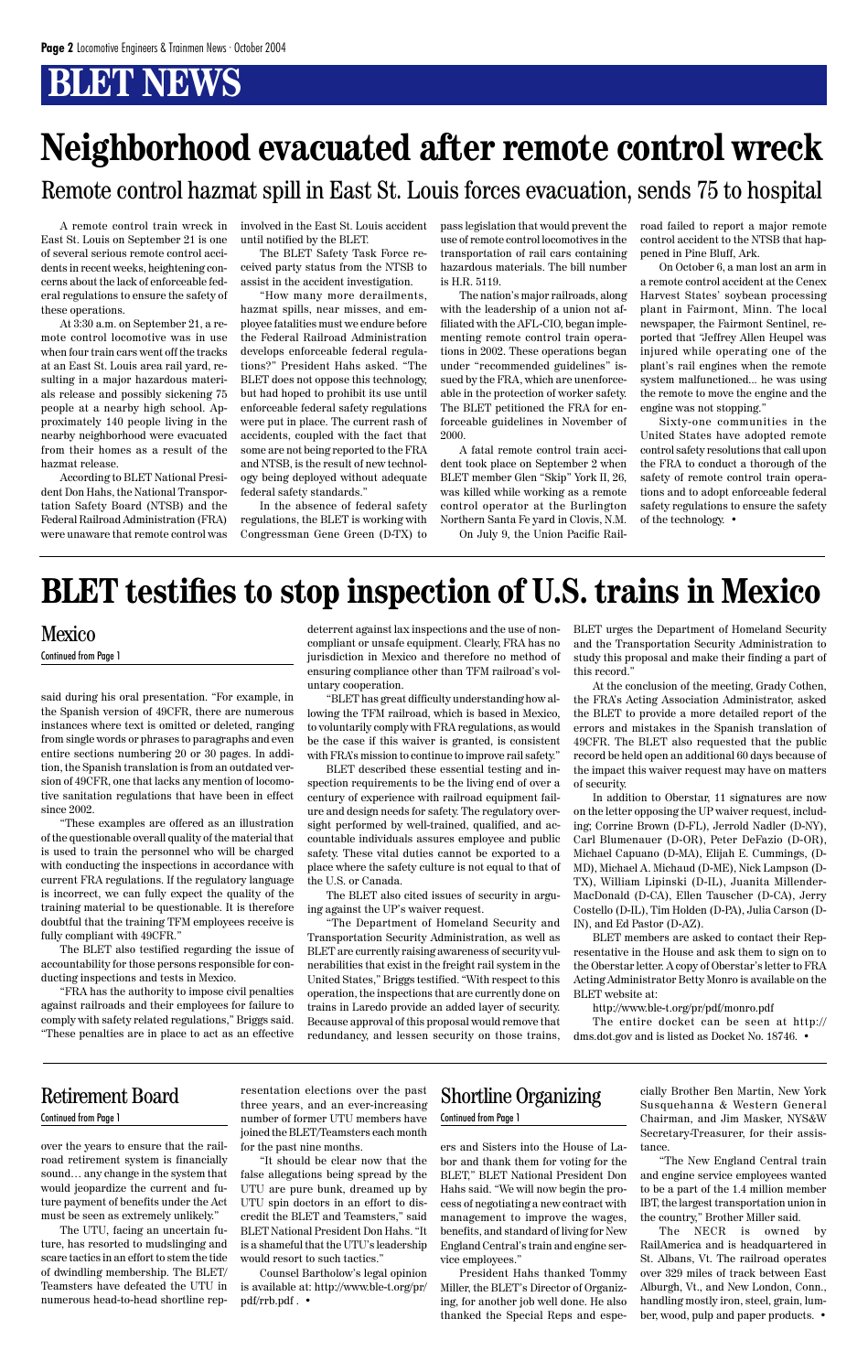## **BLET NEWS**

said during his oral presentation. "For example, in the Spanish version of 49CFR, there are numerous instances where text is omitted or deleted, ranging from single words or phrases to paragraphs and even entire sections numbering 20 or 30 pages. In addition, the Spanish translation is from an outdated version of 49CFR, one that lacks any mention of locomotive sanitation regulations that have been in effect since 2002.

"These examples are offered as an illustration of the questionable overall quality of the material that is used to train the personnel who will be charged with conducting the inspections in accordance with current FRA regulations. If the regulatory language is incorrect, we can fully expect the quality of the training material to be questionable. It is therefore doubtful that the training TFM employees receive is fully compliant with 49CFR."

The BLET also testified regarding the issue of accountability for those persons responsible for conducting inspections and tests in Mexico.

"FRA has the authority to impose civil penalties allet railroads and their employees for failure to comply with safety related regulations," Briggs said. "These penalties are in place to act as an effective

deterrent against lax inspections and the use of noncompliant or unsafe equipment. Clearly, FRA has no jurisdiction in Mexico and therefore no method of ensuring compliance other than TFM railroad's voluntary cooperation.

"BLET has great difficulty understanding how allowing the TFM railroad, which is based in Mexico, to voluntarily comply with FRA regulations, as would be the case if this waiver is granted, is consistent with FRA's mission to continue to improve rail safety."

BLET described these essential testing and inspection requirements to be the living end of over a century of experience with railroad equipment failure and design needs for safety. The regulatory oversight performed by well-trained, qualified, and accountable individuals assures employee and public safety. These vital duties cannot be exported to a place where the safety culture is not equal to that of the U.S. or Canada.

The BLET also cited issues of security in arguing against the UP's waiver request.

"The Department of Homeland Security and Transportation Security Administration, as well as BLET are currently raising awareness of security vulnerabilities that exist in the freight rail system in the United States," Briggs testified. "With respect to this operation, the inspections that are currently done on trains in Laredo provide an added layer of security. Because approval of this proposal would remove that redundancy, and lessen security on those trains, BLET urges the Department of Homeland Security and the Transportation Security Administration to study this proposal and make their finding a part of this record."

At the conclusion of the meeting, Grady Cothen, the FRA's Acting Association Administrator, asked the BLET to provide a more detailed report of the errors and mistakes in the Spanish translation of 49CFR. The BLET also requested that the public record be held open an additional 60 days because of the impact this waiver request may have on matters of security.

In addition to Oberstar, 11 signatures are now on the letter opposing the UP waiver request, including; Corrine Brown (D-FL), Jerrold Nadler (D-NY), Carl Blumenauer (D-OR), Peter DeFazio (D-OR), Michael Capuano (D-MA), Elijah E. Cummings, (D-MD), Michael A. Michaud (D-ME), Nick Lampson (D-TX), William Lipinski (D-IL), Juanita Millender-MacDonald (D-CA), Ellen Tauscher (D-CA), Jerry Costello (D-IL), Tim Holden (D-PA), Julia Carson (D-IN), and Ed Pastor (D-AZ).

BLET members are asked to contact their Representative in the House and ask them to sign on to the Oberstar letter. A copy of Oberstar's letter to FRA Acting Administrator Betty Monro is available on the BLET website at:

http://www.ble-t.org/pr/pdf/monro.pdf The entire docket can be seen at http:// dms.dot.gov and is listed as Docket No. 18746. •

### Mexico

Continued from Page 1

## **BLET testifies to stop inspection of U.S. trains in Mexico**

A remote control train wreck in East St. Louis on September 21 is one of several serious remote control accidents in recent weeks, heightening concerns about the lack of enforceable federal regulations to ensure the safety of these operations.

At 3:30 a.m. on September 21, a remote control locomotive was in use when four train cars went off the tracks at an East St. Louis area rail yard, resulting in a major hazardous materials release and possibly sickening 75 people at a nearby high school. Approximately 140 people living in the nearby neighborhood were evacuated from their homes as a result of the hazmat release.

According to BLET National President Don Hahs, the National Transportation Safety Board (NTSB) and the Federal Railroad Administration (FRA) were unaware that remote control was involved in the East St. Louis accident until notified by the BLET.

The BLET Safety Task Force received party status from the NTSB to assist in the accident investigation.

"How many more derailments, hazmat spills, near misses, and employee fatalities must we endure before the Federal Railroad Administration develops enforceable federal regulations?" President Hahs asked. "The BLET does not oppose this technology, but had hoped to prohibit its use until enforceable federal safety regulations were put in place. The current rash of accidents, coupled with the fact that some are not being reported to the FRA and NTSB, is the result of new technology being deployed without adequate federal safety standards."

In the absence of federal safety regulations, the BLET is working with Congressman Gene Green (D-TX) to pass legislation that would prevent the use of remote control locomotives in the transportation of rail cars containing hazardous materials. The bill number is H.R. 5119.

The nation's major railroads, along with the leadership of a union not affiliated with the AFL-CIO, began implementing remote control train operations in 2002. These operations began under "recommended guidelines" issued by the FRA, which are unenforceable in the protection of worker safety. The BLET petitioned the FRA for enforceable guidelines in November of 2000.

A fatal remote control train accident took place on September 2 when BLET member Glen "Skip" York II, 26, was killed while working as a remote control operator at the Burlington Northern Santa Fe yard in Clovis, N.M.

On July 9, the Union Pacific Rail-

road failed to report a major remote control accident to the NTSB that hap-

pened in Pine Bluff, Ark. On October 6, a man lost an arm in a remote control accident at the Cenex

Harvest States' soybean processing plant in Fairmont, Minn. The local newspaper, the Fairmont Sentinel, reported that "Jeffrey Allen Heupel was injured while operating one of the plant's rail engines when the remote system malfunctioned... he was using the remote to move the engine and the engine was not stopping."

Sixty-one communities in the

United States have adopted remote control safety resolutions that call upon the FRA to conduct a thorough of the safety of remote control train operations and to adopt enforceable federal safety regulations to ensure the safety of the technology. •

## **Neighborhood evacuated after remote control wreck**

Remote control hazmat spill in East St. Louis forces evacuation, sends 75 to hospital

over the years to ensure that the railroad retirement system is financially sound… any change in the system that would jeopardize the current and future payment of benefits under the Act must be seen as extremely unlikely."

The UTU, facing an uncertain future, has resorted to mudslinging and scare tactics in an effort to stem the tide of dwindling membership. The BLET/ Teamsters have defeated the UTU in numerous head-to-head shortline repers and Sisters into the House of Labor and thank them for voting for the BLET," BLET National President Don Hahs said. "We will now begin the process of negotiating a new contract with management to improve the wages, benefits, and standard of living for New England Central's train and engine service employees."

President Hahs thanked Tommy Miller, the BLET's Director of Organizing, for another job well done. He also thanked the Special Reps and espe-

resentation elections over the past three years, and an ever-increasing number of former UTU members have joined the BLET/Teamsters each month for the past nine months.

"It should be clear now that the false allegations being spread by the UTU are pure bunk, dreamed up by UTU spin doctors in an effort to discredit the BLET and Teamsters," said BLET National President Don Hahs. "It is a shameful that the UTU's leadership would resort to such tactics."

Counsel Bartholow's legal opinion is available at: http://www.ble-t.org/pr/ pdf/rrb.pdf . •

### Retirement Board Continued from Page 1

cially Brother Ben Martin, New York Susquehanna & Western General Chairman, and Jim Masker, NYS&W Secretary-Treasurer, for their assistance.

"The New England Central train and engine service employees wanted to be a part of the 1.4 million member IBT, the largest transportation union in the country," Brother Miller said.

The NECR is owned by RailAmerica and is headquartered in St. Albans, Vt. The railroad operates over 329 miles of track between East Alburgh, Vt., and New London, Conn., handling mostly iron, steel, grain, lumber, wood, pulp and paper products. •

### Shortline Organizing Continued from Page 1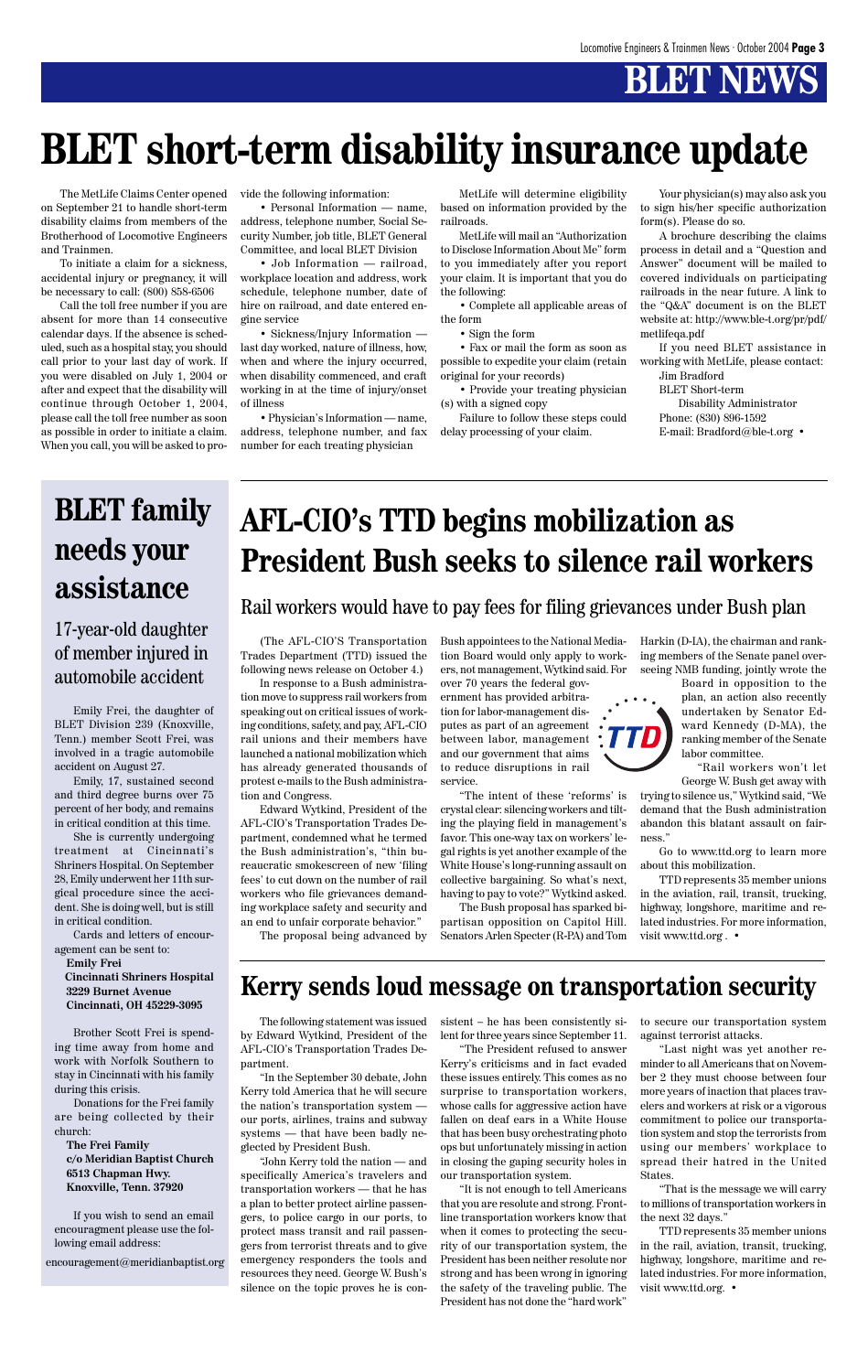## **BLET NEWS**

The MetLife Claims Center opened on September 21 to handle short-term disability claims from members of the Brotherhood of Locomotive Engineers and Trainmen.

To initiate a claim for a sickness, accidental injury or pregnancy, it will be necessary to call: (800) 858-6506

Call the toll free number if you are absent for more than 14 consecutive calendar days. If the absence is scheduled, such as a hospital stay, you should call prior to your last day of work. If you were disabled on July 1, 2004 or after and expect that the disability will continue through October 1, 2004, please call the toll free number as soon as possible in order to initiate a claim. When you call, you will be asked to provide the following information:

• Personal Information — name, address, telephone number, Social Security Number, job title, BLET General Committee, and local BLET Division

• Job Information — railroad, workplace location and address, work schedule, telephone number, date of hire on railroad, and date entered engine service

• Sickness/Injury Information last day worked, nature of illness, how, when and where the injury occurred, when disability commenced, and craft working in at the time of injury/onset of illness

• Physician's Information — name, address, telephone number, and fax number for each treating physician

MetLife will determine eligibility based on information provided by the railroads.

MetLife will mail an "Authorization to Disclose Information About Me" form to you immediately after you report your claim. It is important that you do the following:

• Complete all applicable areas of the form

• Sign the form

• Fax or mail the form as soon as possible to expedite your claim (retain original for your records)

• Provide your treating physician (s) with a signed copy

Failure to follow these steps could delay processing of your claim.

Your physician(s) may also ask you to sign his/her specific authorization form(s). Please do so.

A brochure describing the claims process in detail and a "Question and Answer" document will be mailed to covered individuals on participating railroads in the near future. A link to the "Q&A" document is on the BLET website at: http://www.ble-t.org/pr/pdf/ metlifeqa.pdf

If you need BLET assistance in working with MetLife, please contact:

Jim Bradford BLET Short-term

Disability Administrator Phone: (830) 896-1592 E-mail: Bradford@ble-t.org •

## **BLET short-term disability insurance update**

Emily Frei, the daughter of BLET Division 239 (Knoxville, Tenn.) member Scott Frei, was involved in a tragic automobile accident on August 27.

Emily, 17, sustained second and third degree burns over 75 percent of her body, and remains in critical condition at this time.

She is currently undergoing treatment at Cincinnati's Shriners Hospital. On September 28, Emily underwent her 11th surgical procedure since the accident. She is doing well, but is still in critical condition.

Cards and letters of encouragement can be sent to:

 **Emily Frei Cincinnati Shriners Hospital 3229 Burnet Avenue Cincinnati, OH 45229-3095**

Brother Scott Frei is spending time away from home and work with Norfolk Southern to stay in Cincinnati with his family during this crisis.

Donations for the Frei family are being collected by their church:

 **The Frei Family c/o Meridian Baptist Church 6513 Chapman Hwy. Knoxville, Tenn. 37920**

If you wish to send an email encouragment please use the following email address:

### 17-year-old daughter of member injured in automobile accident

The following statement was issued by Edward Wytkind, President of the AFL-CIO's Transportation Trades Department.

"In the September 30 debate, John Kerry told America that he will secure the nation's transportation system our ports, airlines, trains and subway systems — that have been badly neglected by President Bush.

"John Kerry told the nation — and specifically America's travelers and transportation workers — that he has a plan to better protect airline passengers, to police cargo in our ports, to protect mass transit and rail passengers from terrorist threats and to give emergency responders the tools and resources they need. George W. Bush's silence on the topic proves he is consistent – he has been consistently silent for three years since September 11.

"The President refused to answer Kerry's criticisms and in fact evaded these issues entirely. This comes as no surprise to transportation workers, whose calls for aggressive action have fallen on deaf ears in a White House that has been busy orchestrating photo ops but unfortunately missing in action in closing the gaping security holes in our transportation system.

"It is not enough to tell Americans that you are resolute and strong. Frontline transportation workers know that when it comes to protecting the security of our transportation system, the President has been neither resolute nor strong and has been wrong in ignoring the safety of the traveling public. The President has not done the "hard work"

to secure our transportation system against terrorist attacks.

"Last night was yet another reminder to all Americans that on November 2 they must choose between four more years of inaction that places travelers and workers at risk or a vigorous commitment to police our transportation system and stop the terrorists from using our members' workplace to spread their hatred in the United States.

"That is the message we will carry to millions of transportation workers in the next 32 days."

TTD represents 35 member unions in the rail, aviation, transit, trucking, highway, longshore, maritime and related industries. For more information, visit www.ttd.org. •

**Kerry sends loud message on transportation security**

(The AFL-CIO'S Transportation Trades Department (TTD) issued the following news release on October 4.)

In response to a Bush administration move to suppress rail workers from speaking out on critical issues of working conditions, safety, and pay, AFL-CIO rail unions and their members have launched a national mobilization which has already generated thousands of protest e-mails to the Bush administration and Congress.

Edward Wytkind, President of the AFL-CIO's Transportation Trades Department, condemned what he termed the Bush administration's, "thin bureaucratic smokescreen of new 'filing fees' to cut down on the number of rail workers who file grievances demanding workplace safety and security and an end to unfair corporate behavior."

The proposal being advanced by

Bush appointees to the National Mediation Board would only apply to workers, not management, Wytkind said. For

over 70 years the federal government has provided arbitration for labor-management disputes as part of an agreement between labor, management and our government that aims to reduce disruptions in rail service.

"The intent of these 'reforms' is crystal clear: silencing workers and tilting the playing field in management's favor. This one-way tax on workers' legal rights is yet another example of the White House's long-running assault on collective bargaining. So what's next, having to pay to vote?" Wytkind asked.

The Bush proposal has sparked bipartisan opposition on Capitol Hill. Senators Arlen Specter (R-PA) and Tom Harkin (D-IA), the chairman and ranking members of the Senate panel overseeing NMB funding, jointly wrote the



"Rail workers won't let George W. Bush get away with

trying to silence us," Wytkind said, "We demand that the Bush administration abandon this blatant assault on fairness."

Go to www.ttd.org to learn more about this mobilization.

TTD represents 35 member unions in the aviation, rail, transit, trucking, highway, longshore, maritime and related industries. For more information, visit www.ttd.org . •



## **AFL-CIO's TTD begins mobilization as President Bush seeks to silence rail workers**

### Rail workers would have to pay fees for filing grievances under Bush plan

## **BLET family needs your assistance**

encouragement@meridianbaptist.org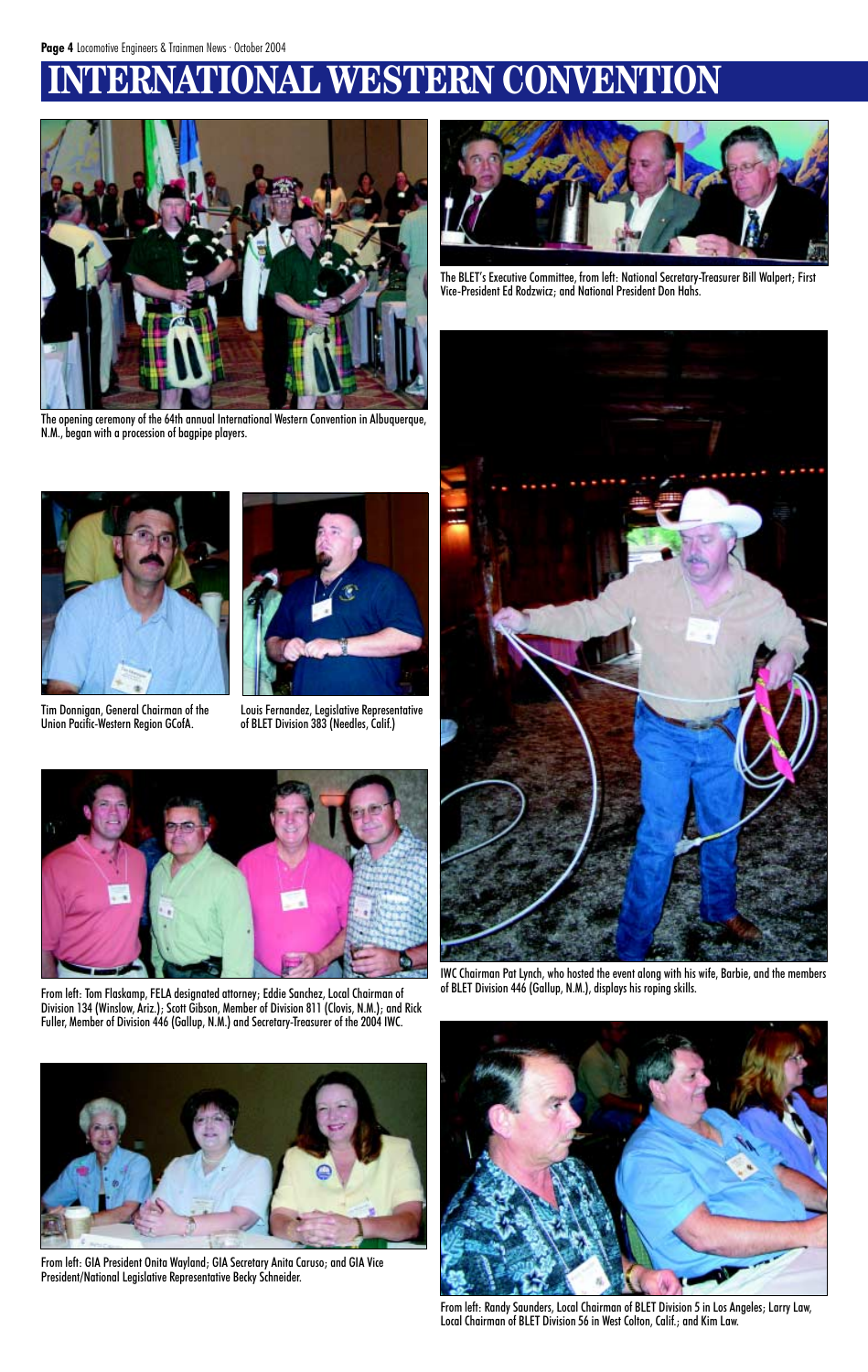## **IERNATIONAL WESTERN CONVENTION**



The BLET's Executive Committee, from left: National Secretary-Treasurer Bill Walpert; First Vice-President Ed Rodzwicz; and National President Don Hahs.



The opening ceremony of the 64th annual International Western Convention in Albuquerque, N.M., began with a procession of bagpipe players.



IWC Chairman Pat Lynch, who hosted the event along with his wife, Barbie, and the members of BLET Division 446 (Gallup, N.M.), displays his roping skills.



From left: Randy Saunders, Local Chairman of BLET Division 5 in Los Angeles; Larry Law, Local Chairman of BLET Division 56 in West Colton, Calif.; and Kim Law.



Tim Donnigan, General Chairman of the Union Pacific-Western Region GCofA.



Louis Fernandez, Legislative Representative of BLET Division 383 (Needles, Calif.)



From left: Tom Flaskamp, FELA designated attorney; Eddie Sanchez, Local Chairman of Division 134 (Winslow, Ariz.); Scott Gibson, Member of Division 811 (Clovis, N.M.); and Rick

Fuller, Member of Division 446 (Gallup, N.M.) and Secretary-Treasurer of the 2004 IWC.



From left: GIA President Onita Wayland; GIA Secretary Anita Caruso; and GIA Vice President/National Legislative Representative Becky Schneider.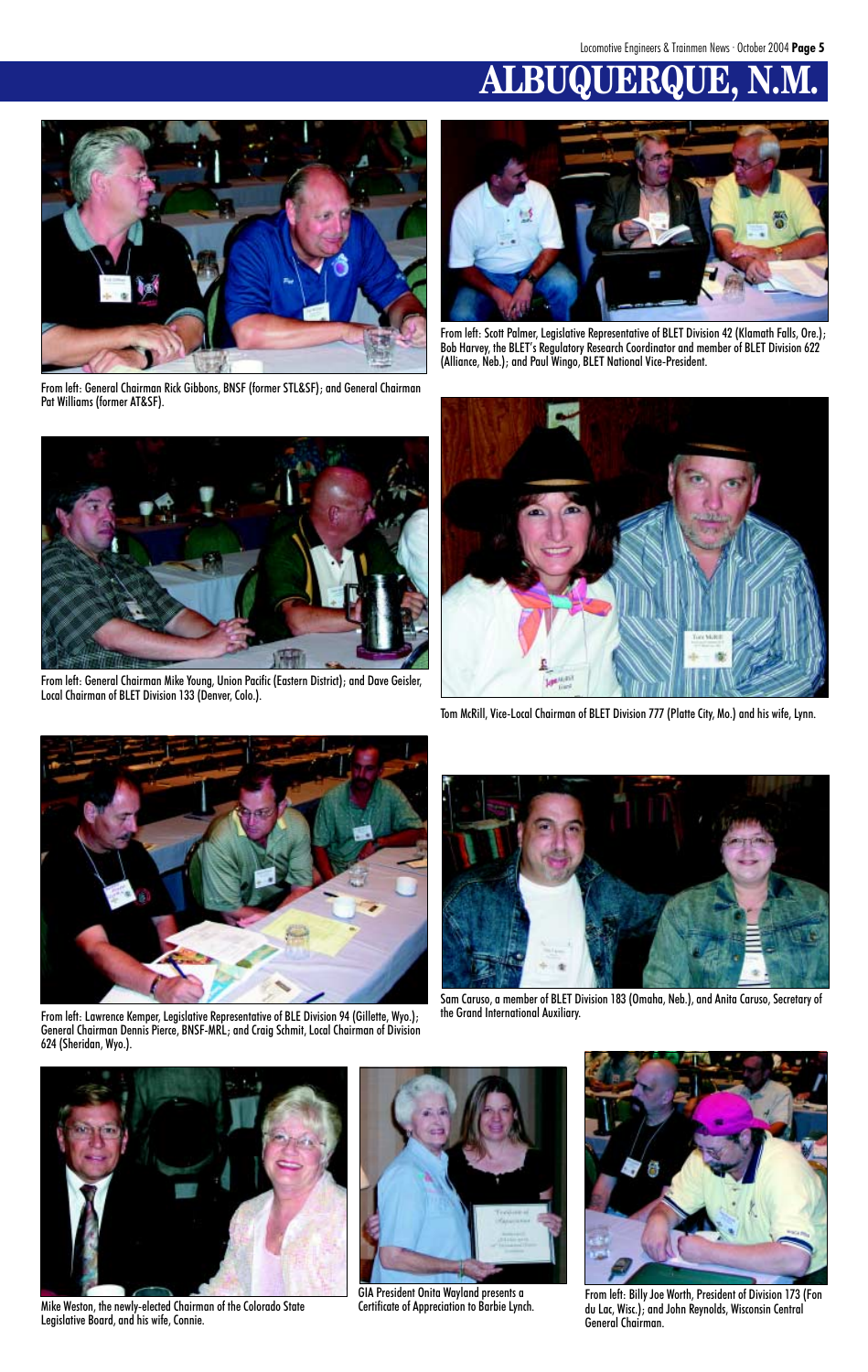## **ALBUQUERQUE, N.M.**



From left: General Chairman Rick Gibbons, BNSF (former STL&SF); and General Chairman Pat Williams (former AT&SF).



From left: General Chairman Mike Young, Union Pacific (Eastern District); and Dave Geisler, Local Chairman of BLET Division 133 (Denver, Colo.).



From left: Scott Palmer, Legislative Representative of BLET Division 42 (Klamath Falls, Ore.); Bob Harvey, the BLET's Regulatory Research Coordinator and member of BLET Division 622 (Alliance, Neb.); and Paul Wingo, BLET National Vice-President.



Tom McRill, Vice-Local Chairman of BLET Division 777 (Platte City, Mo.) and his wife, Lynn.



From left: Lawrence Kemper, Legislative Representative of BLE Division 94 (Gillette, Wyo.); General Chairman Dennis Pierce, BNSF-MRL; and Craig Schmit, Local Chairman of Division 624 (Sheridan, Wyo.).



Sam Caruso, a member of BLET Division 183 (Omaha, Neb.), and Anita Caruso, Secretary of

the Grand International Auxiliary.



Mike Weston, the newly-elected Chairman of the Colorado State Legislative Board, and his wife, Connie.



From left: Billy Joe Worth, President of Division 173 (Fon du Lac, Wisc.); and John Reynolds, Wisconsin Central General Chairman.



GIA President Onita Wayland presents a Certificate of Appreciation to Barbie Lynch.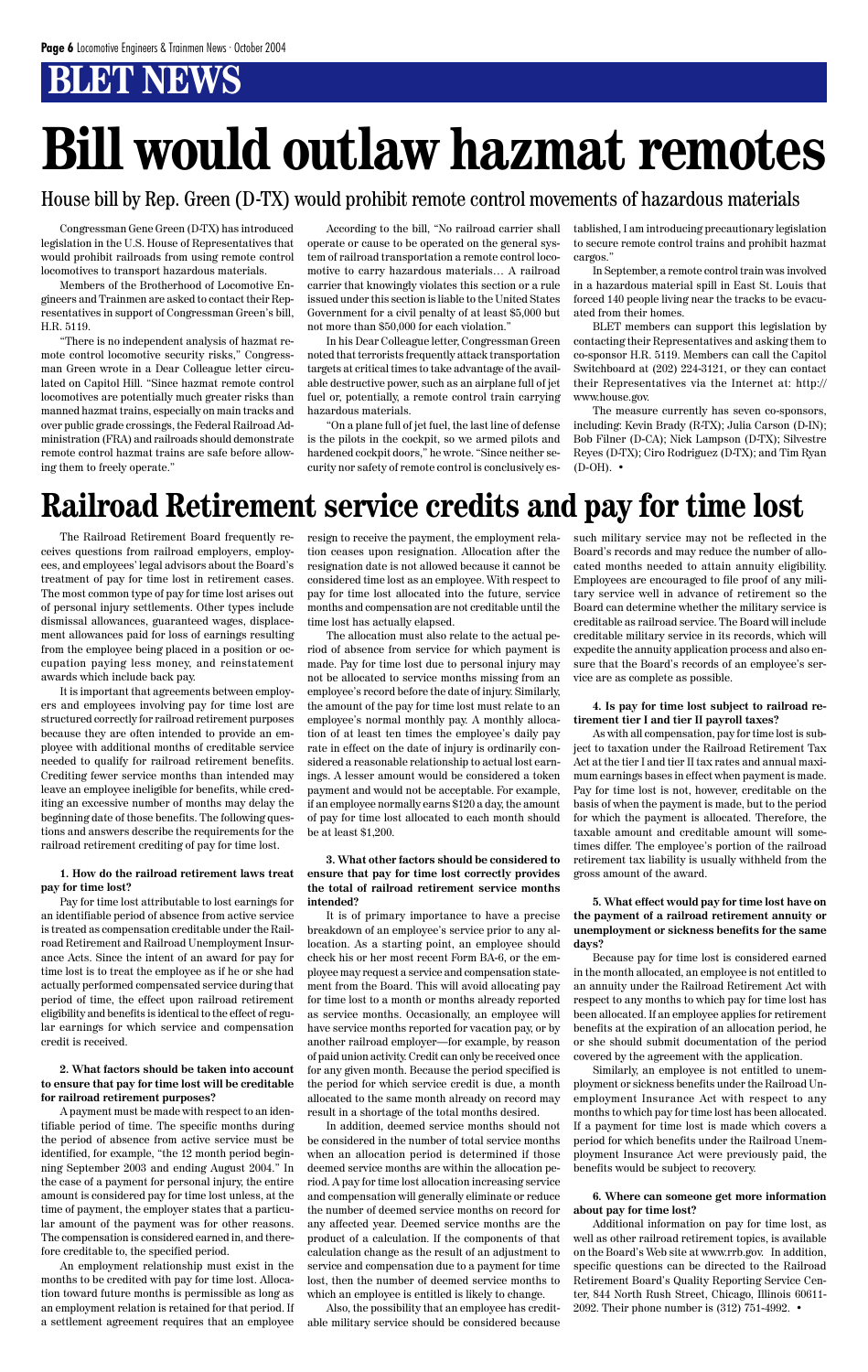## **BT NEWS**

## **Railroad Retirement service credits and pay for time lost**

The Railroad Retirement Board frequently receives questions from railroad employers, employees, and employees' legal advisors about the Board's treatment of pay for time lost in retirement cases. The most common type of pay for time lost arises out of personal injury settlements. Other types include dismissal allowances, guaranteed wages, displacement allowances paid for loss of earnings resulting from the employee being placed in a position or occupation paying less money, and reinstatement awards which include back pay.

It is important that agreements between employers and employees involving pay for time lost are structured correctly for railroad retirement purposes because they are often intended to provide an employee with additional months of creditable service needed to qualify for railroad retirement benefits. Crediting fewer service months than intended may leave an employee ineligible for benefits, while crediting an excessive number of months may delay the beginning date of those benefits. The following questions and answers describe the requirements for the railroad retirement crediting of pay for time lost.

### **1. How do the railroad retirement laws treat pay for time lost?**

Pay for time lost attributable to lost earnings for an identifiable period of absence from active service is treated as compensation creditable under the Railroad Retirement and Railroad Unemployment Insurance Acts. Since the intent of an award for pay for time lost is to treat the employee as if he or she had actually performed compensated service during that period of time, the effect upon railroad retirement

eligibility and benefits is identical to the effect of regular earnings for which service and compensation credit is received.

**2. What factors should be taken into account to ensure that pay for time lost will be creditable for railroad retirement purposes?**

A payment must be made with respect to an identifiable period of time. The specific months during the period of absence from active service must be identified, for example, "the 12 month period beginning September 2003 and ending August 2004." In the case of a payment for personal injury, the entire amount is considered pay for time lost unless, at the time of payment, the employer states that a particular amount of the payment was for other reasons. The compensation is considered earned in, and therefore creditable to, the specified period.

An employment relationship must exist in the months to be credited with pay for time lost. Allocation toward future months is permissible as long as an employment relation is retained for that period. If a settlement agreement requires that an employee resign to receive the payment, the employment relation ceases upon resignation. Allocation after the resignation date is not allowed because it cannot be considered time lost as an employee. With respect to pay for time lost allocated into the future, service months and compensation are not creditable until the time lost has actually elapsed.

The allocation must also relate to the actual period of absence from service for which payment is made. Pay for time lost due to personal injury may not be allocated to service months missing from an employee's record before the date of injury. Similarly, the amount of the pay for time lost must relate to an employee's normal monthly pay. A monthly allocation of at least ten times the employee's daily pay rate in effect on the date of injury is ordinarily considered a reasonable relationship to actual lost earnings. A lesser amount would be considered a token payment and would not be acceptable. For example, if an employee normally earns \$120 a day, the amount of pay for time lost allocated to each month should be at least \$1,200.

#### **3. What other factors should be considered to ensure that pay for time lost correctly provides the total of railroad retirement service months intended?**

It is of primary importance to have a precise breakdown of an employee's service prior to any allocation. As a starting point, an employee should check his or her most recent Form BA-6, or the employee may request a service and compensation statement from the Board. This will avoid allocating pay for time lost to a month or months already reported as service months. Occasionally, an employee will have service months reported for vacation pay, or by another railroad employer—for example, by reason of paid union activity. Credit can only be received once for any given month. Because the period specified is the period for which service credit is due, a month allocated to the same month already on record may result in a shortage of the total months desired. In addition, deemed service months should not be considered in the number of total service months when an allocation period is determined if those deemed service months are within the allocation period. A pay for time lost allocation increasing service and compensation will generally eliminate or reduce the number of deemed service months on record for any affected year. Deemed service months are the product of a calculation. If the components of that calculation change as the result of an adjustment to service and compensation due to a payment for time lost, then the number of deemed service months to which an employee is entitled is likely to change.

The measure currently has seven co-sponsors, including: Kevin Brady (R-TX); Julia Carson (D-IN); Bob Filner (D-CA); Nick Lampson (D-TX); Silvestre Reyes (D-TX); Ciro Rodriguez (D-TX); and Tim Ryan  $(D-OH)$ .  $\bullet$ 

Also, the possibility that an employee has creditable military service should be considered because such military service may not be reflected in the Board's records and may reduce the number of allocated months needed to attain annuity eligibility. Employees are encouraged to file proof of any military service well in advance of retirement so the Board can determine whether the military service is creditable as railroad service. The Board will include creditable military service in its records, which will expedite the annuity application process and also ensure that the Board's records of an employee's service are as complete as possible.

#### **4. Is pay for time lost subject to railroad retirement tier I and tier II payroll taxes?**

As with all compensation, pay for time lost is subject to taxation under the Railroad Retirement Tax Act at the tier I and tier II tax rates and annual maximum earnings bases in effect when payment is made. Pay for time lost is not, however, creditable on the basis of when the payment is made, but to the period for which the payment is allocated. Therefore, the taxable amount and creditable amount will sometimes differ. The employee's portion of the railroad retirement tax liability is usually withheld from the gross amount of the award.

**5. What effect would pay for time lost have on the payment of a railroad retirement annuity or unemployment or sickness benefits for the same days?**

Because pay for time lost is considered earned in the month allocated, an employee is not entitled to an annuity under the Railroad Retirement Act with respect to any months to which pay for time lost has been allocated. If an employee applies for retirement benefits at the expiration of an allocation period, he or she should submit documentation of the period covered by the agreement with the application. Similarly, an employee is not entitled to unemployment or sickness benefits under the Railroad Unemployment Insurance Act with respect to any months to which pay for time lost has been allocated. If a payment for time lost is made which covers a period for which benefits under the Railroad Unemployment Insurance Act were previously paid, the benefits would be subject to recovery.

#### **6. Where can someone get more information about pay for time lost?**

Additional information on pay for time lost, as well as other railroad retirement topics, is available on the Board's Web site at www.rrb.gov. In addition, specific questions can be directed to the Railroad Retirement Board's Quality Reporting Service Center, 844 North Rush Street, Chicago, Illinois 60611- 2092. Their phone number is (312) 751-4992. •

# **Bill would outlaw hazmat remotes**

House bill by Rep. Green (D-TX) would prohibit remote control movements of hazardous materials

Congressman Gene Green (D-TX) has introduced legislation in the U.S. House of Representatives that would prohibit railroads from using remote control locomotives to transport hazardous materials.

Members of the Brotherhood of Locomotive Engineers and Trainmen are asked to contact their Representatives in support of Congressman Green's bill, H.R. 5119.

"There is no independent analysis of hazmat remote control locomotive security risks," Congressman Green wrote in a Dear Colleague letter circulated on Capitol Hill. "Since hazmat remote control locomotives are potentially much greater risks than manned hazmat trains, especially on main tracks and over public grade crossings, the Federal Railroad Administration (FRA) and railroads should demonstrate remote control hazmat trains are safe before allowing them to freely operate."

According to the bill, "No railroad carrier shall operate or cause to be operated on the general system of railroad transportation a remote control locomotive to carry hazardous materials… A railroad carrier that knowingly violates this section or a rule issued under this section is liable to the United States Government for a civil penalty of at least \$5,000 but not more than \$50,000 for each violation."

In his Dear Colleague letter, Congressman Green noted that terrorists frequently attack transportation targets at critical times to take advantage of the available destructive power, such as an airplane full of jet fuel or, potentially, a remote control train carrying hazardous materials.

"On a plane full of jet fuel, the last line of defense is the pilots in the cockpit, so we armed pilots and hardened cockpit doors," he wrote. "Since neither security nor safety of remote control is conclusively established, I am introducing precautionary legislation to secure remote control trains and prohibit hazmat cargos."

In September, a remote control train was involved in a hazardous material spill in East St. Louis that forced 140 people living near the tracks to be evacuated from their homes.

BLET members can support this legislation by contacting their Representatives and asking them to co-sponsor H.R. 5119. Members can call the Capitol Switchboard at (202) 224-3121, or they can contact their Representatives via the Internet at: http:// www.house.gov.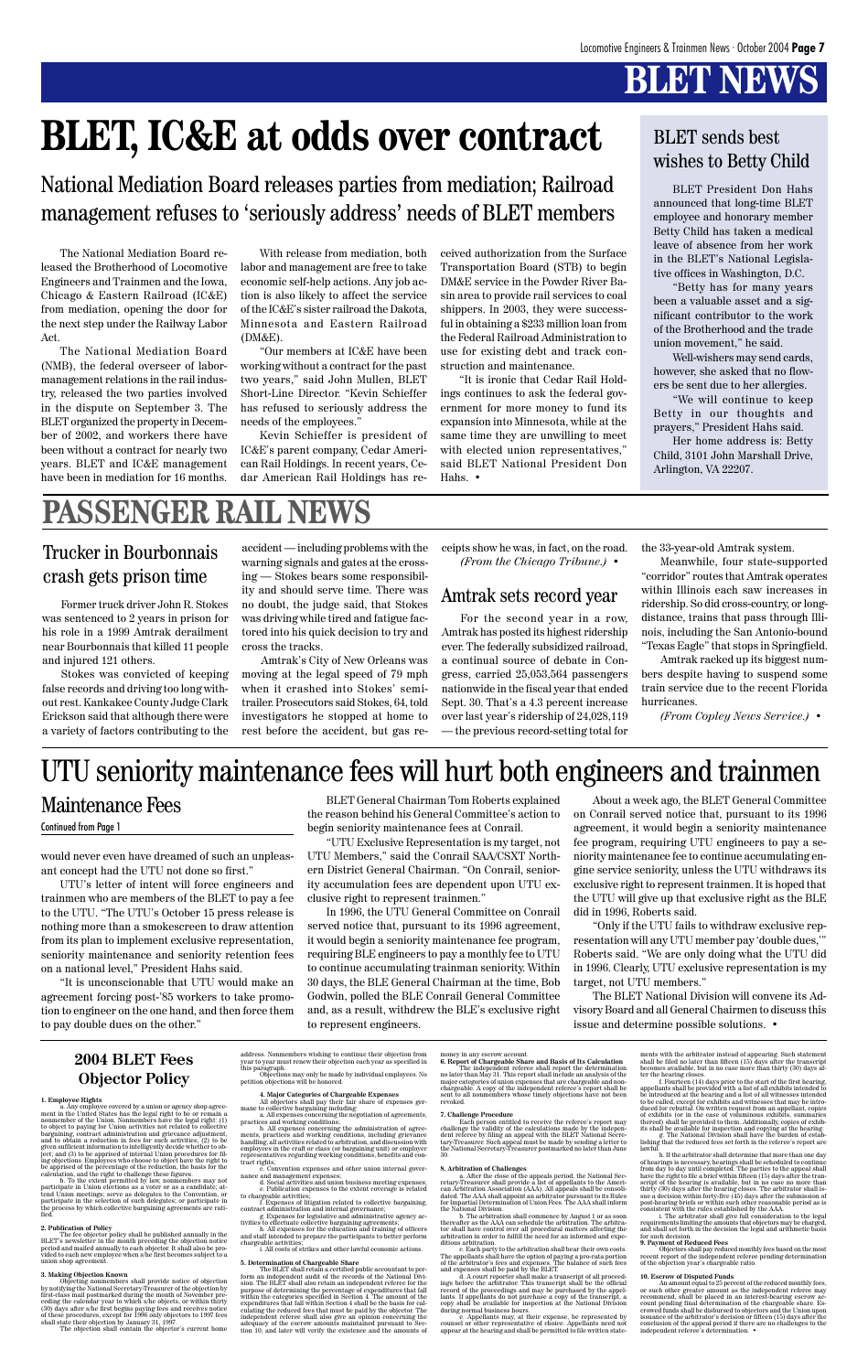## **BLET NEWS**

### **2004 BLET Fees Objector Policy**

**1. Employee Rights** a. Any employee covered by a union or agency shop agree-ment in the United States has the legal right to be or remain a nonmember of the Union. Nonmembers have the legal right: (1) to object to paying for Union activities not related to collective bargaining, contract administration and grievance adjustment, and to obtain a reduction in fees for such activities; (2) to be given sufficient information to intelligently decide whether to ob-ject; and (3) to be apprised of internal Union procedures for fil-ing objections. Employees who choose to object have the right to be apprised of the percentage of the reduction, the basis for the calculation, and the right to challenge these figures. b. To the extent permitted by law, nonmembers may not participate in Union elections as a voter or as a candidate; at-tend Union meetings; serve as delegates to the Convention, or participate in the selection of such delegates; or participate in the process by which collective bargaining agreements are rati-fied.

2. Publication of Policy<br>The fee objector policy shall be published annually in the<br>BLET's newsletter in the month preceding the objection notice<br>period and mailed annually to each objector. It shall also be pro-<br>vided to

b. All expenses concerning the administration of agree-ments, practices and working conditions, including grievance handling, all activities related to arbitration, and discussion with employees in the craft or class (or bargaining unit) or employer representatives regarding working conditions, benefits and contract rights;

convention expenses and other union internal gover-

#### **3. Making Objection Known**

Objecting nonmembers shall provide notice of objection<br>by notifying the National Secretary-Treasurer of the objection by<br>first-class mall postmarked during the month of November pre-<br>ceding the calcular year to which s/he

address. Nonmembers wishing to continue their objection from year to year must renew their objection each year as specified in this paragraph. Objections may only be made by individual employees. No

petition objections may simply seeming.

4. Major Categories of Chargeable Expenses<br>All objectors shall pay their fair share of expenses germane to collective bargaining including<br>name to collective bargaining including<br>names concerning the negotiation of agreeme

The independent referee shall report the determination<br>no later than May 31. This report shall include an analysis of the<br>major categories of union expenses that are chargeable and non-<br>chargeable. A copy of the independe revoked.

Each person entitled to receive the referee's report may<br>challenge the validity of the calculations made by the independent referee by filing an appeal with the BLET National Secre-<br>tary-Treasurer. Such appeal must be made 30.

8. A**rbitration of Challenges**<br>a. After the close of the appeals period, the National Sec-<br>retary-Treasurer shall provide a list of appellants to the Ameri-<br>can Arbitration Association (AAA). All appeals shall be consolidated. The AAA shall appoint an arbitrator pursuant to its Rules for Impartial Determination of Union Fees. The AAA shall inform the National Division.

b. The arbitration shall commence by August 1 or as soon thereafter as the AAA can schedule the arbitration. The arbitrator shall have control over all procedural matters affecting the arbitration in order to fulfill the need for an informed and experience.

arbitration in order to fulfill the need for an informed and experimetrion<br>in order to fulfill the need for an informed and experiments shall have the option of paying a pro-rata portion<br>of the arbitration's fold have the

nance and management expenses; d. Social activities and union business meeting expenses; e. Publication expenses to the extent coverage is related

to charge<br>able activities; fitigation related to collective bargaining, contract administration and internal governance;<br>it is consistent administration and internal governance;<br>it is a consense for legislative and adminis chargeable activitie

i. All costs of strikes and other lawful economic actions.

5. Determination of Chargeable Share<br>The The LET shall retain a certified public accountant to per-<br>form an independent addit of the records of the National Divi-<br>sion. The BLET shall also retain an independent referee fo

thereof) shall be provided to them. Additionally, copies of exhibitis shall be available for inspection and copying at the hearing.<br>It is small continue at the place of the state of the state of state of the state of the b lawful.

h. If the arbitrator shall determine that more than one day of hearings is necessary, hearings shall be scheduled to continue from day to day until completed. The parties to the appeal shall have the right to file a brief within fifteen (15) days after the transcript of the hearing is available, but in no case no more than thirty (30) days after the hearing closes. The arbitrator shall is-sue a decision within forty-five (45) days after the submission of post-hearing briefs or within such other reasonable period as is

consistent with the rules established by the AAA.<br>i. The arbitrator shall give full consideration to the legal<br>requirements limiting the amounts that objectors may be charged,<br>and shall set forth in the decision the legal for such decision

money in any escrow account. **6. Report of Chargeable Share and Basis of Its Calculation**

10. Escrow of Disputed Funds<br>comparison and the set of the reduced monthly fees, or such other greater amount as the independent referee may<br>recommend, shall be placed in an interest-bearing escrow account pending final d conclusion of the appeal period if there are no challenges to the independent referee's determination. •

#### **7. Challenge Procedure**

e. Appellants may, at their expense, be represented by counsel or other representative of choice. Appellants need not appear at the hearing and shall be permitted to file written state-

ments with the arbitrator instead of appearing. Such statement shall be filed no later than fifteen (15) days after the transcript becomes available, but in no case more than thirty (30) days af-

ter the hearing closes.<br>
the therm of the first hearing, one for the first hearing,<br>
appellants shall be provided with a list of all exhibits intended to<br>
be introduced at the hearing and a list of all witnesses intended<br>

#### **9. Payment of Reduced Fees**

Objectors shall pay reduced monthly fees based on the most recent report of the independent referee pending determination of the objection year's chargeable ratio.

The National Mediation Board released the Brotherhood of Locomotive Engineers and Trainmen and the Iowa, Chicago & Eastern Railroad (IC&E) from mediation, opening the door for the next step under the Railway Labor Act.

The National Mediation Board (NMB), the federal overseer of labormanagement relations in the rail industry, released the two parties involved in the dispute on September 3. The BLET organized the property in December of 2002, and workers there have been without a contract for nearly two years. BLET and IC&E management have been in mediation for 16 months.

With release from mediation, both labor and management are free to take economic self-help actions. Any job action is also likely to affect the service of the IC&E's sister railroad the Dakota, Minnesota and Eastern Railroad (DM&E).

"Our members at IC&E have been working without a contract for the past two years," said John Mullen, BLET Short-Line Director. "Kevin Schieffer has refused to seriously address the needs of the employees."

Kevin Schieffer is president of IC&E's parent company, Cedar American Rail Holdings. In recent years, Cedar American Rail Holdings has received authorization from the Surface Transportation Board (STB) to begin DM&E service in the Powder River Basin area to provide rail services to coal shippers. In 2003, they were successful in obtaining a \$233 million loan from the Federal Railroad Administration to use for existing debt and track construction and maintenance.

"It is ironic that Cedar Rail Holdings continues to ask the federal government for more money to fund its expansion into Minnesota, while at the same time they are unwilling to meet with elected union representatives," said BLET National President Don Hahs. •

## **BLET, IC&E at odds over contract**

National Mediation Board releases parties from mediation; Railroad management refuses to 'seriously address' needs of BLET members

### BLET sends best wishes to Betty Child

BLET President Don Hahs announced that long-time BLET employee and honorary member Betty Child has taken a medical leave of absence from her work in the BLET's National Legislative offices in Washington, D.C.

"Betty has for many years been a valuable asset and a significant contributor to the work of the Brotherhood and the trade union movement," he said.

Well-wishers may send cards, however, she asked that no flowers be sent due to her allergies.

"We will continue to keep Betty in our thoughts and prayers," President Hahs said.

Her home address is: Betty Child, 3101 John Marshall Drive, Arlington, VA 22207.

would never even have dreamed of such an unpleasant concept had the UTU not done so first."

UTU's letter of intent will force engineers and trainmen who are members of the BLET to pay a fee to the UTU. "The UTU's October 15 press release is nothing more than a smokescreen to draw attention from its plan to implement exclusive representation, seniority maintenance and seniority retention fees on a national level," President Hahs said.

"It is unconscionable that UTU would make an agreement forcing post-'85 workers to take promoto pay double dues on the other."

BLET General Chairman Tom Roberts explained the reason behind his General Committee's action to begin seniority maintenance fees at Conrail.

"UTU Exclusive Representation is my target, not UTU Members," said the Conrail SAA/CSXT Northern District General Chairman. "On Conrail, seniority accumulation fees are dependent upon UTU exclusive right to represent trainmen."

tion to engineer on the one hand, and then force them and, as a result, withdrew the BLE's exclusive right In 1996, the UTU General Committee on Conrail served notice that, pursuant to its 1996 agreement, it would begin a seniority maintenance fee program, requiring BLE engineers to pay a monthly fee to UTU to continue accumulating trainman seniority. Within 30 days, the BLE General Chairman at the time, Bob Godwin, polled the BLE Conrail General Committee to represent engineers.

About a week ago, the BLET General Committee on Conrail served notice that, pursuant to its 1996 agreement, it would begin a seniority maintenance fee program, requiring UTU engineers to pay a seniority maintenance fee to continue accumulating engine service seniority, unless the UTU withdraws its exclusive right to represent trainmen. It is hoped that the UTU will give up that exclusive right as the BLE did in 1996, Roberts said.

"Only if the UTU fails to withdraw exclusive representation will any UTU member pay 'double dues,'" Roberts said. "We are only doing what the UTU did in 1996. Clearly, UTU exclusive representation is my target, not UTU members."

The BLET National Division will convene its Advisory Board and all General Chairmen to discuss this issue and determine possible solutions. •

### Maintenance Fees

### Continued from Page 1

### Amtrak sets record year

For the second year in a row, Amtrak has posted its highest ridership ever. The federally subsidized railroad, a continual source of debate in Congress, carried 25,053,564 passengers nationwide in the fiscal year that ended Sept. 30. That's a 4.3 percent increase over last year's ridership of 24,028,119 — the previous record-setting total for

Former truck driver John R. Stokes was sentenced to 2 years in prison for his role in a 1999 Amtrak derailment near Bourbonnais that killed 11 people and injured 121 others.

Stokes was convicted of keeping false records and driving too long without rest. Kankakee County Judge Clark Erickson said that although there were a variety of factors contributing to the

### Trucker in Bourbonnais crash gets prison time

## **PASSENGER RAIL NEWS**

accident — including problems with the warning signals and gates at the crossing — Stokes bears some responsibility and should serve time. There was no doubt, the judge said, that Stokes was driving while tired and fatigue factored into his quick decision to try and cross the tracks.

Amtrak's City of New Orleans was moving at the legal speed of 79 mph when it crashed into Stokes' semitrailer. Prosecutors said Stokes, 64, told investigators he stopped at home to rest before the accident, but gas receipts show he was, in fact, on the road. *(From the Chicago Tribune.)* •

the 33-year-old Amtrak system.

Meanwhile, four state-supported "corridor" routes that Amtrak operates within Illinois each saw increases in ridership. So did cross-country, or longdistance, trains that pass through Illinois, including the San Antonio-bound "Texas Eagle" that stops in Springfield.

Amtrak racked up its biggest numbers despite having to suspend some train service due to the recent Florida hurricanes.

*(From Copley News Service.)* •

### UTU seniority maintenance fees will hurt both engineers and trainmen